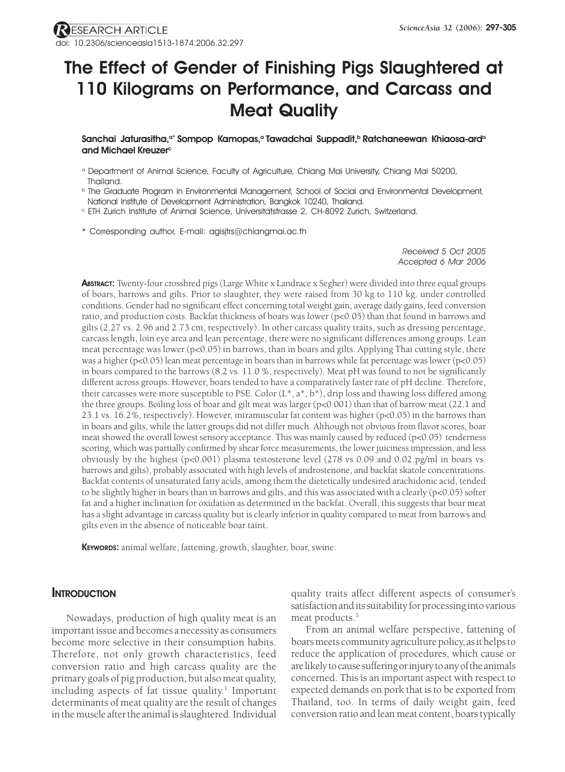# **The Effect of Gender of Finishing Pigs Slaughtered at 110 Kilograms on Performance, and Carcass and Meat Quality**

Sanchai Jaturasitha,<sup>a\*</sup> Sompop Kamopas,<sup>a</sup> Tawadchai Suppadit,<sup>b</sup> Ratchaneewan Khiaosa-ard<sup>a</sup> and Michael Kreuzer<sup>c</sup>

- a Department of Animal Science, Faculty of Agriculture, Chiang Mai University, Chiang Mai 50200, Thailand.
- **b The Graduate Program in Environmental Management, School of Social and Environmental Development,** National Institute of Development Administration, Bangkok 10240, Thailand.
- c ETH Zurich Institute of Animal Science, Universitatstrasse 2, CH-8092 Zurich, Switzerland. ..
- \* Corresponding author, E-mail: agisjtrs@chiangmai.ac.th

*Received 5 Oct 2005 Accepted 6 Mar 2006*

**ABSTRACT:** Twenty-four crossbred pigs (Large White x Landrace x Segher) were divided into three equal groups of boars, barrows and gilts. Prior to slaughter, they were raised from 30 kg to 110 kg. under controlled conditions. Gender had no significant effect concerning total weight gain, average daily gains, feed conversion ratio, and production costs. Backfat thickness of boars was lower (p<0.05) than that found in barrows and gilts (2.27 vs. 2.96 and 2.73 cm, respectively). In other carcass quality traits, such as dressing percentage, carcass length, loin eye area and lean percentage, there were no significant differences among groups. Lean meat percentage was lower (p<0.05) in barrows, than in boars and gilts. Applying Thai cutting style, there was a higher (p<0.05) lean meat percentage in boars than in barrows while fat percentage was lower (p<0.05) in boars compared to the barrows (8.2 vs. 11.0 %, respectively). Meat pH was found to not be significantly different across groups. However, boars tended to have a comparatively faster rate of pH decline. Therefore, their carcasses were more susceptible to PSE. Color (L\*, a\*, b\*), drip loss and thawing loss differed among the three groups. Boiling loss of boar and gilt meat was larger (p<0.001) than that of barrow meat (22.1 and 23.1 vs. 16.2%, respectively). However, intramuscular fat content was higher (p<0.05) in the barrows than in boars and gilts, while the latter groups did not differ much. Although not obvious from flavor scores, boar meat showed the overall lowest sensory acceptance. This was mainly caused by reduced (p<0.05) tenderness scoring, which was partially confirmed by shear force measurements, the lower juiciness impression, and less obviously by the highest (p<0.001) plasma testosterone level (278 vs 0.09 and 0.02 pg/ml in boars vs. barrows and gilts), probably associated with high levels of androstenone, and backfat skatole concentrations. Backfat contents of unsaturated fatty acids, among them the dietetically undesired arachidonic acid, tended to be slightly higher in boars than in barrows and gilts, and this was associated with a clearly (p<0.05) softer fat and a higher inclination for oxidation as determined in the backfat. Overall, this suggests that boar meat has a slight advantage in carcass quality but is clearly inferior in quality compared to meat from barrows and gilts even in the absence of noticeable boar taint.

**KEYWORDS:** animal welfare, fattening, growth, slaughter, boar, swine.

# **INTRODUCTION**

Nowadays, production of high quality meat is an important issue and becomes a necessity as consumers become more selective in their consumption habits. Therefore, not only growth characteristics, feed conversion ratio and high carcass quality are the primary goals of pig production, but also meat quality, including aspects of fat tissue quality.<sup>1</sup> Important determinants of meat quality are the result of changes in the muscle after the animal is slaughtered. Individual

quality traits affect different aspects of consumer's satisfaction and its suitability for processing into various meat products.<sup>1</sup>

From an animal welfare perspective, fattening of boars meets community agriculture policy, as it helps to reduce the application of procedures, which cause or are likely to cause suffering or injury to any of the animals concerned. This is an important aspect with respect to expected demands on pork that is to be exported from Thailand, too. In terms of daily weight gain, feed conversion ratio and lean meat content, boars typically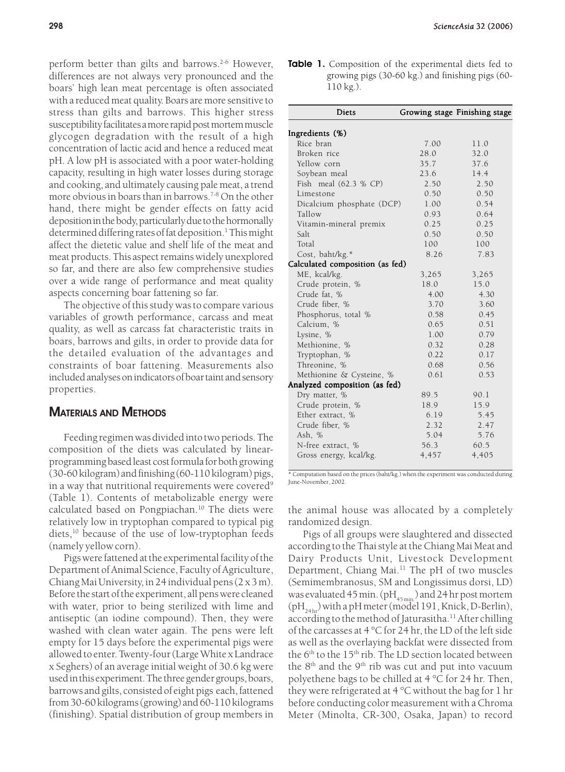perform better than gilts and barrows.<sup>2-6</sup> However, differences are not always very pronounced and the boars' high lean meat percentage is often associated with a reduced meat quality. Boars are more sensitive to stress than gilts and barrows. This higher stress susceptibility facilitates a more rapid post mortem muscle glycogen degradation with the result of a high concentration of lactic acid and hence a reduced meat pH. A low pH is associated with a poor water-holding capacity, resulting in high water losses during storage and cooking, and ultimately causing pale meat, a trend more obvious in boars than in barrows.<sup>7-8</sup> On the other hand, there might be gender effects on fatty acid deposition in the body, particularly due to the hormonally determined differing rates of fat deposition.<sup>1</sup> This might affect the dietetic value and shelf life of the meat and meat products. This aspect remains widely unexplored so far, and there are also few comprehensive studies over a wide range of performance and meat quality aspects concerning boar fattening so far.

The objective of this study was to compare various variables of growth performance, carcass and meat quality, as well as carcass fat characteristic traits in boars, barrows and gilts, in order to provide data for the detailed evaluation of the advantages and constraints of boar fattening. Measurements also included analyses on indicators of boar taint and sensory properties.

# **MATERIALS AND METHODS**

Feeding regimen was divided into two periods. The composition of the diets was calculated by linearprogramming based least cost formula for both growing (30-60 kilogram) and finishing (60-110 kilogram) pigs, in a way that nutritional requirements were covered<sup>9</sup> (Table 1). Contents of metabolizable energy were calculated based on Pongpiachan.<sup>10</sup> The diets were relatively low in tryptophan compared to typical pig diets,<sup>10</sup> because of the use of low-tryptophan feeds (namely yellow corn).

Pigs were fattened at the experimental facility of the Department of Animal Science, Faculty of Agriculture, Chiang Mai University, in 24 individual pens (2 x 3 m). Before the start of the experiment, all pens were cleaned with water, prior to being sterilized with lime and antiseptic (an iodine compound). Then, they were washed with clean water again. The pens were left empty for 15 days before the experimental pigs were allowed to enter. Twenty-four (Large White x Landrace x Seghers) of an average initial weight of 30.6 kg were used in this experiment. The three gender groups, boars, barrows and gilts, consisted of eight pigs each, fattened from 30-60 kilograms (growing) and 60-110 kilograms (finishing). Spatial distribution of group members in

**Table 1.** Composition of the experimental diets fed to growing pigs (30-60 kg.) and finishing pigs (60- 110 kg.).

| <b>Diets</b>                    |       | Growing stage Finishing stage |
|---------------------------------|-------|-------------------------------|
| Ingredients (%)                 |       |                               |
| Rice bran                       | 7.00  | 11.0                          |
| Broken rice                     | 28.0  | 32.0                          |
| Yellow corn                     | 35.7  | 37.6                          |
| Soybean meal                    | 23.6  | 14.4                          |
| Fish meal (62.3 % CP)           | 2.50  | 2.50                          |
| Limestone                       | 0.50  | 0.50                          |
| Dicalcium phosphate (DCP)       | 1.00  | 0.54                          |
| Tallow                          | 0.93  | 0.64                          |
| Vitamin-mineral premix          | 0.25  | 0.25                          |
| Salt                            | 0.50  | 0.50                          |
| Total                           | 100   | 100                           |
| Cost, baht/kg.*                 | 8.26  | 7.83                          |
| Calculated composition (as fed) |       |                               |
| ME, kcal/kg.                    | 3,265 | 3,265                         |
| Crude protein, %                | 18.0  | 15.0                          |
| Crude fat, %                    | 4.00  | 4.30                          |
| Crude fiber, %                  | 3.70  | 3.60                          |
| Phosphorus, total %             | 0.58  | 0.45                          |
| Calcium, %                      | 0.65  | 0.51                          |
| Lysine, %                       | 1.00  | 0.79                          |
| Methionine, %                   | 0.32  | 0.28                          |
| Tryptophan, %                   | 0.22  | 0.17                          |
| Threonine, %                    | 0.68  | 0.56                          |
| Methionine & Cysteine, %        | 0.61  | 0.53                          |
| Analyzed composition (as fed)   |       |                               |
| Dry matter, %                   | 89.5  | 90.1                          |
| Crude protein, %                | 18.9  | 15.9                          |
| Ether extract, %                | 6.19  | 5.45                          |
| Crude fiber, %                  | 2.32  | 2.47                          |
| Ash, %                          | 5.04  | 5.76                          |
| N-free extract, %               | 56.3  | 60.5                          |
| Gross energy, kcal/kg.          | 4,457 | 4,405                         |
|                                 |       |                               |

\* Computation based on the prices (baht/kg.) when the experiment was conducted during June-November, 2002.

the animal house was allocated by a completely randomized design.

Pigs of all groups were slaughtered and dissected according to the Thai style at the Chiang Mai Meat and Dairy Products Unit, Livestock Development Department, Chiang Mai.11 The pH of two muscles (Semimembranosus, SM and Longissimus dorsi, LD) was evaluated 45 min.  $(pH_{45 min})$  and 24 hr post mortem  $(pH<sub>24h</sub>)$  with a pH meter (model 191, Knick, D-Berlin), according to the method of Jaturasitha.<sup>11</sup> After chilling of the carcasses at 4 °C for 24 hr, the LD of the left side as well as the overlaying backfat were dissected from the 6<sup>th</sup> to the 15<sup>th</sup> rib. The LD section located between the  $8<sup>th</sup>$  and the  $9<sup>th</sup>$  rib was cut and put into vacuum polyethene bags to be chilled at 4 °C for 24 hr. Then, they were refrigerated at 4 °C without the bag for 1 hr before conducting color measurement with a Chroma Meter (Minolta, CR-300, Osaka, Japan) to record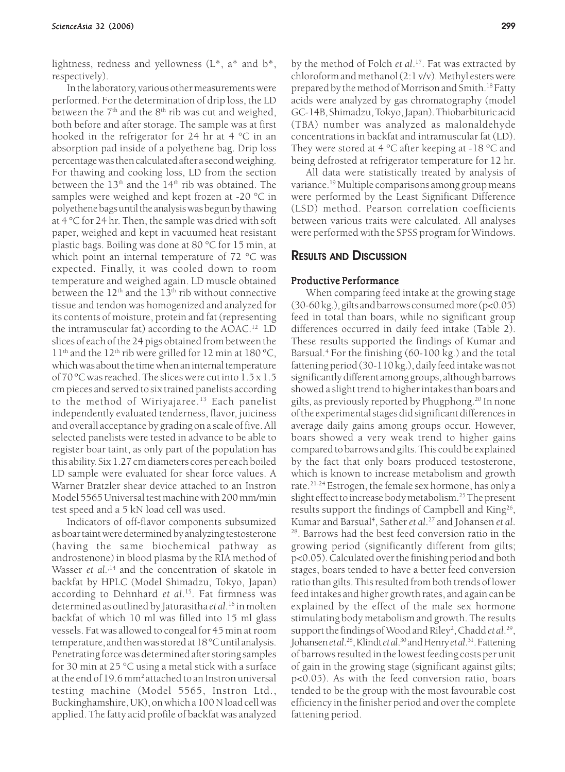lightness, redness and yellowness  $(L^*, a^*$  and  $b^*,$ respectively).

In the laboratory, various other measurements were performed. For the determination of drip loss, the LD between the  $7<sup>th</sup>$  and the  $8<sup>th</sup>$  rib was cut and weighed, both before and after storage. The sample was at first hooked in the refrigerator for 24 hr at 4 °C in an absorption pad inside of a polyethene bag. Drip loss percentage was then calculated after a second weighing. For thawing and cooking loss, LD from the section between the  $13<sup>th</sup>$  and the  $14<sup>th</sup>$  rib was obtained. The samples were weighed and kept frozen at -20 °C in polyethene bags until the analysis was begun by thawing at 4 °C for 24 hr. Then, the sample was dried with soft paper, weighed and kept in vacuumed heat resistant plastic bags. Boiling was done at 80 °C for 15 min, at which point an internal temperature of 72 °C was expected. Finally, it was cooled down to room temperature and weighed again. LD muscle obtained between the  $12<sup>th</sup>$  and the  $13<sup>th</sup>$  rib without connective tissue and tendon was homogenized and analyzed for its contents of moisture, protein and fat (representing the intramuscular fat) according to the AOAC.12 LD slices of each of the 24 pigs obtained from between the 11<sup>th</sup> and the 12<sup>th</sup> rib were grilled for 12 min at 180 °C, which was about the time when an internal temperature of 70 ºC was reached. The slices were cut into 1.5 x 1.5 cm pieces and served to six trained panelists according to the method of Wiriyajaree.<sup>13</sup> Each panelist independently evaluated tenderness, flavor, juiciness and overall acceptance by grading on a scale of five. All selected panelists were tested in advance to be able to register boar taint, as only part of the population has this ability. Six 1.27 cm diameters cores per each boiled LD sample were evaluated for shear force values. A Warner Bratzler shear device attached to an Instron Model 5565 Universal test machine with 200 mm/min test speed and a 5 kN load cell was used.

Indicators of off-flavor components subsumized as boar taint were determined by analyzing testosterone (having the same biochemical pathway as androstenone) in blood plasma by the RIA method of Wasser *et al.*<sup>14</sup> and the concentration of skatole in backfat by HPLC (Model Shimadzu, Tokyo, Japan) according to Dehnhard *et al*. 15. Fat firmness was determined as outlined by Jaturasitha *et al*. 16 in molten backfat of which 10 ml was filled into 15 ml glass vessels. Fat was allowed to congeal for 45 min at room temperature, and then was stored at 18 °C until analysis. Penetrating force was determined after storing samples for 30 min at 25 °C using a metal stick with a surface at the end of 19.6 mm<sup>2</sup> attached to an Instron universal testing machine (Model 5565, Instron Ltd., Buckinghamshire, UK), on which a 100 N load cell was applied. The fatty acid profile of backfat was analyzed

by the method of Folch *et al*. 17. Fat was extracted by chloroform and methanol (2:1 v/v). Methyl esters were prepared by the method of Morrison and Smith.<sup>18</sup> Fatty acids were analyzed by gas chromatography (model GC-14B, Shimadzu, Tokyo, Japan). Thiobarbituric acid (TBA) number was analyzed as malonaldehyde concentrations in backfat and intramuscular fat (LD). They were stored at 4 ºC after keeping at -18 ºC and being defrosted at refrigerator temperature for 12 hr.

All data were statistically treated by analysis of variance.19 Multiple comparisons among group means were performed by the Least Significant Difference (LSD) method. Pearson correlation coefficients between various traits were calculated. All analyses were performed with the SPSS program for Windows.

## **RESULTS AND DISCUSSION**

#### Productive Performance

When comparing feed intake at the growing stage  $(30-60 \text{ kg.})$ , gilts and barrows consumed more  $(p<0.05)$ feed in total than boars, while no significant group differences occurred in daily feed intake (Table 2). These results supported the findings of Kumar and Barsual.<sup>4</sup> For the finishing (60-100 kg.) and the total fattening period (30-110 kg.), daily feed intake was not significantly different among groups, although barrows showed a slight trend to higher intakes than boars and gilts, as previously reported by Phugphong.<sup>20</sup> In none of the experimental stages did significant differences in average daily gains among groups occur. However, boars showed a very weak trend to higher gains compared to barrows and gilts. This could be explained by the fact that only boars produced testosterone, which is known to increase metabolism and growth rate.<sup>21-24</sup> Estrogen, the female sex hormone, has only a slight effect to increase body metabolism.<sup>25</sup> The present results support the findings of Campbell and King<sup>26</sup>, Kumar and Barsual<sup>4</sup>, Sather *et al*.<sup>27</sup> and Johansen *et al*. 28. Barrows had the best feed conversion ratio in the growing period (significantly different from gilts; p<0.05). Calculated over the finishing period and both stages, boars tended to have a better feed conversion ratio than gilts. This resulted from both trends of lower feed intakes and higher growth rates, and again can be explained by the effect of the male sex hormone stimulating body metabolism and growth. The results support the findings of Wood and Riley<sup>2</sup>, Chadd et al.<sup>29</sup>, Johansen *et al*. 28, Klindt *et al*. 30 and Henry *et al*. 31. Fattening of barrows resulted in the lowest feeding costs per unit of gain in the growing stage (significant against gilts; p<0.05). As with the feed conversion ratio, boars tended to be the group with the most favourable cost efficiency in the finisher period and over the complete fattening period.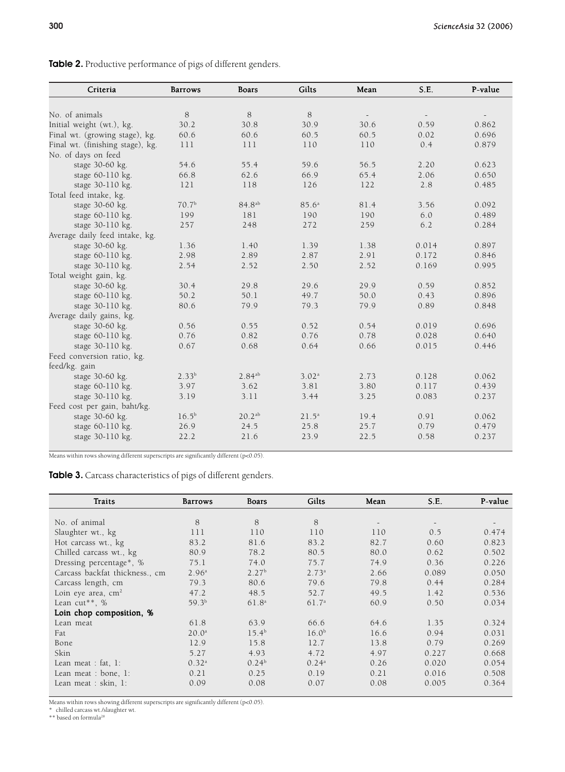**Table 2.** Productive performance of pigs of different genders.

| Criteria                         | <b>Barrows</b>    | <b>Boars</b>       | Gilts             | Mean | S.E.  | P-value |
|----------------------------------|-------------------|--------------------|-------------------|------|-------|---------|
|                                  |                   |                    |                   |      |       |         |
| No. of animals                   | 8                 | 8                  | 8                 |      |       |         |
| Initial weight (wt.), kg.        | 30.2              | 30.8               | 30.9              | 30.6 | 0.59  | 0.862   |
| Final wt. (growing stage), kg.   | 60.6              | 60.6               | 60.5              | 60.5 | 0.02  | 0.696   |
| Final wt. (finishing stage), kg. | 111               | 111                | 110               | 110  | 0.4   | 0.879   |
| No. of days on feed              |                   |                    |                   |      |       |         |
| stage 30-60 kg.                  | 54.6              | 55.4               | 59.6              | 56.5 | 2.20  | 0.623   |
| stage 60-110 kg.                 | 66.8              | 62.6               | 66.9              | 65.4 | 2.06  | 0.650   |
| stage 30-110 kg.                 | 121               | 118                | 126               | 122  | 2.8   | 0.485   |
| Total feed intake, kg.           |                   |                    |                   |      |       |         |
| stage 30-60 kg.                  | 70.7 <sup>b</sup> | 84.8 <sup>ab</sup> | 85.6 <sup>a</sup> | 81.4 | 3.56  | 0.092   |
| stage 60-110 kg.                 | 199               | 181                | 190               | 190  | 6.0   | 0.489   |
| stage 30-110 kg.                 | 257               | 248                | 272               | 259  | 6.2   | 0.284   |
| Average daily feed intake, kg.   |                   |                    |                   |      |       |         |
| stage 30-60 kg.                  | 1.36              | 1.40               | 1.39              | 1.38 | 0.014 | 0.897   |
| stage 60-110 kg.                 | 2.98              | 2.89               | 2.87              | 2.91 | 0.172 | 0.846   |
| stage 30-110 kg.                 | 2.54              | 2.52               | 2.50              | 2.52 | 0.169 | 0.995   |
| Total weight gain, kg.           |                   |                    |                   |      |       |         |
| stage 30-60 kg.                  | 30.4              | 29.8               | 29.6              | 29.9 | 0.59  | 0.852   |
| stage 60-110 kg.                 | 50.2              | 50.1               | 49.7              | 50.0 | 0.43  | 0.896   |
| stage 30-110 kg.                 | 80.6              | 79.9               | 79.3              | 79.9 | 0.89  | 0.848   |
| Average daily gains, kg.         |                   |                    |                   |      |       |         |
| stage 30-60 kg.                  | 0.56              | 0.55               | 0.52              | 0.54 | 0.019 | 0.696   |
| stage 60-110 kg.                 | 0.76              | 0.82               | 0.76              | 0.78 | 0.028 | 0.640   |
| stage 30-110 kg.                 | 0.67              | 0.68               | 0.64              | 0.66 | 0.015 | 0.446   |
| Feed conversion ratio, kg.       |                   |                    |                   |      |       |         |
| feed/kg. gain                    |                   |                    |                   |      |       |         |
| stage 30-60 kg.                  | 2.33 <sup>b</sup> | $2.84^{ab}$        | 3.02 <sup>a</sup> | 2.73 | 0.128 | 0.062   |
| stage $60-110$ kg.               | 3.97              | 3.62               | 3.81              | 3.80 | 0.117 | 0.439   |
| stage 30-110 kg.                 | 3.19              | 3.11               | 3.44              | 3.25 | 0.083 | 0.237   |
| Feed cost per gain, baht/kg.     |                   |                    |                   |      |       |         |
| stage 30-60 kg.                  | $16.5^{\rm b}$    | $20.2^{ab}$        | 21.5 <sup>a</sup> | 19.4 | 0.91  | 0.062   |
| stage 60-110 kg.                 | 26.9              | 24.5               | 25.8              | 25.7 | 0.79  | 0.479   |
| stage 30-110 kg.                 | 22.2              | 21.6               | 23.9              | 22.5 | 0.58  | 0.237   |

Means within rows showing different superscripts are significantly different (p<0.05).

**Table 3.** Carcass characteristics of pigs of different genders.

| Traits                         | <b>Barrows</b>    | Boars             | Gilts             | Mean | S.E.  | P-value |
|--------------------------------|-------------------|-------------------|-------------------|------|-------|---------|
|                                |                   |                   |                   |      |       |         |
| No. of animal                  | 8                 | 8                 | 8                 |      |       |         |
| Slaughter wt., kg              | 111               | 110               | 110               | 110  | 0.5   | 0.474   |
| Hot carcass wt., kg            | 83.2              | 81.6              | 83.2              | 82.7 | 0.60  | 0.823   |
| Chilled carcass wt., kg        | 80.9              | 78.2              | 80.5              | 80.0 | 0.62  | 0.502   |
| Dressing percentage*, %        | 75.1              | 74.0              | 75.7              | 74.9 | 0.36  | 0.226   |
| Carcass backfat thickness., cm | 2.96 <sup>a</sup> | 2.27 <sup>b</sup> | 2.73 <sup>a</sup> | 2.66 | 0.089 | 0.050   |
| Carcass length, cm             | 79.3              | 80.6              | 79.6              | 79.8 | 0.44  | 0.284   |
| Loin eye area, $cm2$           | 47.2              | 48.5              | 52.7              | 49.5 | 1.42  | 0.536   |
| Lean cut <sup>**</sup> , $%$   | 59.3 <sup>b</sup> | 61.8 <sup>a</sup> | 61.7 <sup>a</sup> | 60.9 | 0.50  | 0.034   |
| Loin chop composition, %       |                   |                   |                   |      |       |         |
| Lean meat                      | 61.8              | 63.9              | 66.6              | 64.6 | 1.35  | 0.324   |
| Fat                            | 20.0 <sup>a</sup> | 15.4 <sup>b</sup> | 16.0 <sup>b</sup> | 16.6 | 0.94  | 0.031   |
| Bone                           | 12.9              | 15.8              | 12.7              | 13.8 | 0.79  | 0.269   |
| Skin                           | 5.27              | 4.93              | 4.72              | 4.97 | 0.227 | 0.668   |
| Lean meat : fat, $1$ :         | 0.32 <sup>a</sup> | 0.24 <sup>b</sup> | 0.24 <sup>a</sup> | 0.26 | 0.020 | 0.054   |
| Lean meat : bone, $1$ :        | 0.21              | 0.25              | 0.19              | 0.21 | 0.016 | 0.508   |
| Lean meat : skin, 1:           | 0.09              | 0.08              | 0.07              | 0.08 | 0.005 | 0.364   |

Means within rows showing different superscripts are significantly different (p<0.05).<br>\* chilled carcass wt./slaughter wt.<br>\*\* based on formula<sup>28</sup>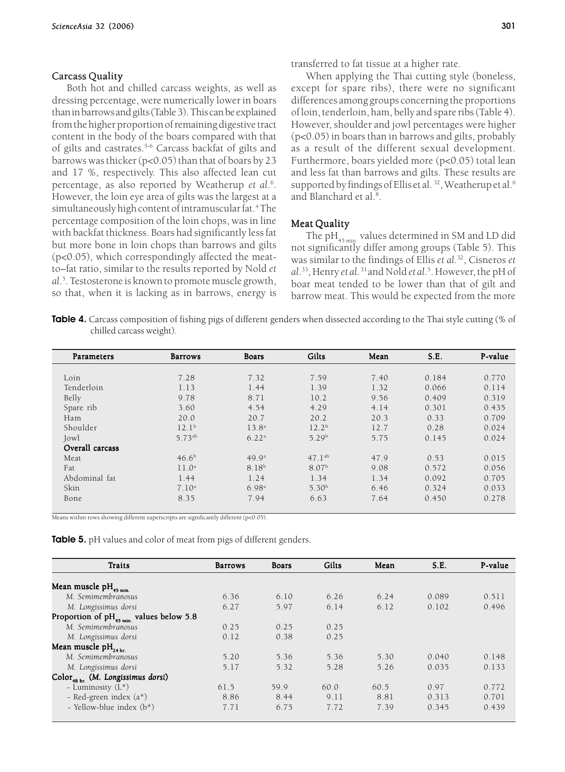#### Carcass Quality

Both hot and chilled carcass weights, as well as dressing percentage, were numerically lower in boars than in barrows and gilts (Table 3). This can be explained from the higher proportion of remaining digestive tract content in the body of the boars compared with that of gilts and castrates.<sup>5-6</sup> Carcass backfat of gilts and barrows was thicker (p<0.05) than that of boars by 23 and 17 %, respectively. This also affected lean cut percentage, as also reported by Weatherup *et al*. 6 . However, the loin eye area of gilts was the largest at a simultaneously high content of intramuscular fat.4 The percentage composition of the loin chops, was in line with backfat thickness. Boars had significantly less fat but more bone in loin chops than barrows and gilts (p<0.05), which correspondingly affected the meatto–fat ratio, similar to the results reported by Nold *et al*. 5 . Testosterone is known to promote muscle growth, so that, when it is lacking as in barrows, energy is

transferred to fat tissue at a higher rate.

When applying the Thai cutting style (boneless, except for spare ribs), there were no significant differences among groups concerning the proportions of loin, tenderloin, ham, belly and spare ribs (Table 4). However, shoulder and jowl percentages were higher (p<0.05) in boars than in barrows and gilts, probably as a result of the different sexual development. Furthermore, boars yielded more (p<0.05) total lean and less fat than barrows and gilts. These results are supported by findings of Ellis et al.<sup>32</sup>, Weatherup et al.<sup>6</sup> and Blanchard et al.<sup>8</sup>.

#### Meat Quality

The pH<sub>45 min</sub> values determined in SM and LD did not significantly differ among groups (Table 5). This was similar to the findings of Ellis *et al*. 32, Cisneros *et al*. 33, Henry *et al.* 31 and Nold *et al.*<sup>5</sup> . However, the pH of boar meat tended to be lower than that of gilt and barrow meat. This would be expected from the more

**Table 4.** Carcass composition of fishing pigs of different genders when dissected according to the Thai style cutting (% of chilled carcass weight).

| Parameters      | <b>Barrows</b>    | <b>Boars</b>      | Gilts             | Mean | S.E.  | P-value |
|-----------------|-------------------|-------------------|-------------------|------|-------|---------|
|                 |                   |                   |                   |      |       |         |
| Loin            | 7.28              | 7.32              | 7.59              | 7.40 | 0.184 | 0.770   |
| Tenderloin      | 1.13              | 1.44              | 1.39              | 1.32 | 0.066 | 0.114   |
| Belly           | 9.78              | 8.71              | 10.2              | 9.56 | 0.409 | 0.319   |
| Spare rib       | 3.60              | 4.54              | 4.29              | 4.14 | 0.301 | 0.435   |
| Ham             | 20.0              | 20.7              | 20.2              | 20.3 | 0.33  | 0.709   |
| Shoulder        | $12.1^{b}$        | $13.8^{a}$        | 12.2 <sup>b</sup> | 12.7 | 0.28  | 0.024   |
| Jowl            | 5.73ab            | 6.22 <sup>a</sup> | 5.29 <sup>b</sup> | 5.75 | 0.145 | 0.024   |
| Overall carcass |                   |                   |                   |      |       |         |
| Meat            | 46.6 <sup>b</sup> | 49.9 <sup>a</sup> | $47.1^{ab}$       | 47.9 | 0.53  | 0.015   |
| Fat             | 11.0 <sup>a</sup> | 8.18 <sup>b</sup> | 8.07 <sup>b</sup> | 9.08 | 0.572 | 0.056   |
| Abdominal fat   | 1.44              | 1.24              | 1.34              | 1.34 | 0.092 | 0.705   |
| Skin            | 7.10 <sup>a</sup> | 6.98 <sup>a</sup> | 5.30 <sup>b</sup> | 6.46 | 0.324 | 0.033   |
| Bone            | 8.35              | 7.94              | 6.63              | 7.64 | 0.450 | 0.278   |
|                 |                   |                   |                   |      |       |         |

Means within rows showing different superscripts are significantly different (p<0.05).

**Table 5.** pH values and color of meat from pigs of different genders.

| Traits                                               | <b>Barrows</b> | Boars | Gilts | Mean | S.E.  | P-value |
|------------------------------------------------------|----------------|-------|-------|------|-------|---------|
|                                                      |                |       |       |      |       |         |
| Mean muscle $pH_{45 \text{ min.}}$                   |                |       |       |      |       |         |
| M. Semimembranosus                                   | 6.36           | 6.10  | 6.26  | 6.24 | 0.089 | 0.511   |
| M. Longissimus dorsi                                 | 6.27           | 5.97  | 6.14  | 6.12 | 0.102 | 0.496   |
| Proportion of pH <sub>45 min.</sub> values below 5.8 |                |       |       |      |       |         |
| M. Semimembranosus                                   | 0.25           | 0.25  | 0.25  |      |       |         |
| M. Longissimus dorsi                                 | 0.12           | 0.38  | 0.25  |      |       |         |
| Mean muscle pH <sub>24 hr.</sub>                     |                |       |       |      |       |         |
| M. Semimembranosus                                   | 5.20           | 5.36  | 5.36  | 5.30 | 0.040 | 0.148   |
| M. Longissimus dorsi                                 | 5.17           | 5.32  | 5.28  | 5.26 | 0.035 | 0.133   |
| Color <sub>48 hr.</sub> (M. Longissimus dorsi)       |                |       |       |      |       |         |
| - Luminosity $(L^*)$                                 | 61.5           | 59.9  | 60.0  | 60.5 | 0.97  | 0.772   |
| - Red-green index (a*)                               | 8.86           | 8.44  | 9.11  | 8.81 | 0.313 | 0.701   |
| - Yellow-blue index (b*)                             | 7.71           | 6.75  | 7.72  | 7.39 | 0.345 | 0.439   |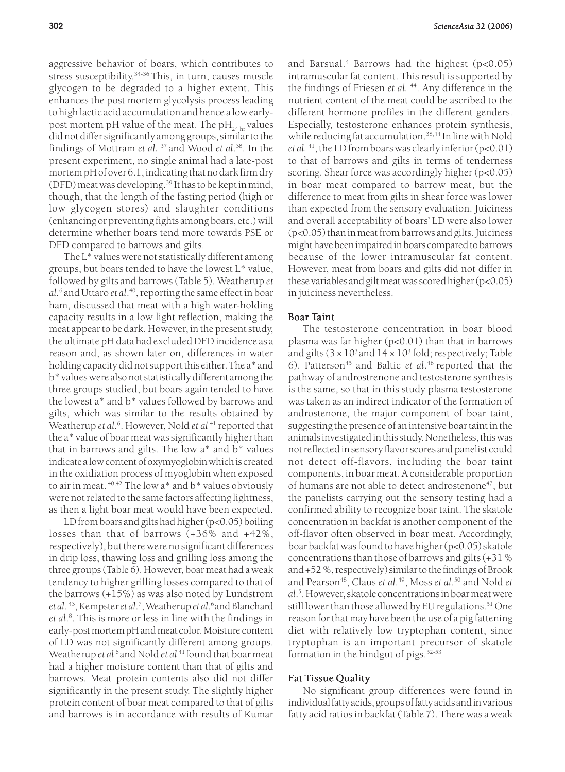aggressive behavior of boars, which contributes to stress susceptibility.<sup>34-36</sup> This, in turn, causes muscle glycogen to be degraded to a higher extent. This enhances the post mortem glycolysis process leading to high lactic acid accumulation and hence a low earlypost mortem pH value of the meat. The  $\rm{pH}_{24 \rm{hr}}$  values did not differ significantly among groups, similar to the findings of Mottram *et al.* 37 and Wood *et al*. 38. In the present experiment, no single animal had a late-post mortem pH of over 6.1, indicating that no dark firm dry (DFD) meat was developing.39 It has to be kept in mind, though, that the length of the fasting period (high or low glycogen stores) and slaughter conditions (enhancing or preventing fights among boars, etc.) will determine whether boars tend more towards PSE or DFD compared to barrows and gilts.

The L\* values were not statistically different among groups, but boars tended to have the lowest L\* value, followed by gilts and barrows (Table 5). Weatherup *et al.*<sup>6</sup> and Uttaro *et al*. 40, reporting the same effect in boar ham, discussed that meat with a high water-holding capacity results in a low light reflection, making the meat appear to be dark. However, in the present study, the ultimate pH data had excluded DFD incidence as a reason and, as shown later on, differences in water holding capacity did not support this either. The a\* and b\* values were also not statistically different among the three groups studied, but boars again tended to have the lowest a\* and b\* values followed by barrows and gilts, which was similar to the results obtained by Weatherup *et al.*<sup>6</sup>. However, Nold *et al* <sup>41</sup> reported that the a\* value of boar meat was significantly higher than that in barrows and gilts. The low a\* and b\* values indicate a low content of oxymyoglobin which is created in the oxidiation process of myoglobin when exposed to air in meat. 40,42 The low a\* and b\* values obviously were not related to the same factors affecting lightness, as then a light boar meat would have been expected.

LD from boars and gilts had higher (p<0.05) boiling losses than that of barrows (+36% and +42%, respectively), but there were no significant differences in drip loss, thawing loss and grilling loss among the three groups (Table 6). However, boar meat had a weak tendency to higher grilling losses compared to that of the barrows (+15%) as was also noted by Lundstrom *et al*. 43, Kempster *et al*. 7 , Weatherup *et al*. 6 and Blanchard *et al*. 8 . This is more or less in line with the findings in early-post mortem pH and meat color. Moisture content of LD was not significantly different among groups. Weatherup *et al*<sup>6</sup> and Nold *et al*<sup>41</sup> found that boar meat had a higher moisture content than that of gilts and barrows. Meat protein contents also did not differ significantly in the present study. The slightly higher protein content of boar meat compared to that of gilts and barrows is in accordance with results of Kumar

and Barsual.4 Barrows had the highest (p<0.05) intramuscular fat content. This result is supported by the findings of Friesen *et al.* <sup>44</sup>. Any difference in the nutrient content of the meat could be ascribed to the different hormone profiles in the different genders. Especially, testosterone enhances protein synthesis, while reducing fat accumulation.<sup>38,44</sup> In line with Nold *et al.*  $^{41}$ , the LD from boars was clearly inferior ( $p<0.01$ ) to that of barrows and gilts in terms of tenderness scoring. Shear force was accordingly higher (p<0.05) in boar meat compared to barrow meat, but the difference to meat from gilts in shear force was lower than expected from the sensory evaluation. Juiciness and overall acceptability of boars' LD were also lower (p<0.05) than in meat from barrows and gilts. Juiciness might have been impaired in boars compared to barrows because of the lower intramuscular fat content. However, meat from boars and gilts did not differ in these variables and gilt meat was scored higher  $(p<0.05)$ in juiciness nevertheless.

#### Boar Taint

The testosterone concentration in boar blood plasma was far higher (p<0.01) than that in barrows and gilts (3 x 10<sup>3</sup> and 14 x 10<sup>3</sup> fold; respectively; Table 6). Patterson<sup>45</sup> and Baltic *et al*.<sup>46</sup> reported that the pathway of androstrenone and testosterone synthesis is the same, so that in this study plasma testosterone was taken as an indirect indicator of the formation of androstenone, the major component of boar taint, suggesting the presence of an intensive boar taint in the animals investigated in this study. Nonetheless, this was not reflected in sensory flavor scores and panelist could not detect off-flavors, including the boar taint components, in boar meat. A considerable proportion of humans are not able to detect androstenone<sup>47</sup>, but the panelists carrying out the sensory testing had a confirmed ability to recognize boar taint. The skatole concentration in backfat is another component of the off-flavor often observed in boar meat. Accordingly, boar backfat was found to have higher (p<0.05) skatole concentrations than those of barrows and gilts (+31 % and +52 %, respectively) similar to the findings of Brook and Pearson48, Claus *et al*. 49, Moss *et al*. 50 and Nold *et al*. 5 . However, skatole concentrations in boar meat were still lower than those allowed by EU regulations.<sup>51</sup> One reason for that may have been the use of a pig fattening diet with relatively low tryptophan content, since tryptophan is an important precursor of skatole formation in the hindgut of pigs. $52-53$ 

#### Fat Tissue Quality

No significant group differences were found in individual fatty acids, groups of fatty acids and in various fatty acid ratios in backfat (Table 7). There was a weak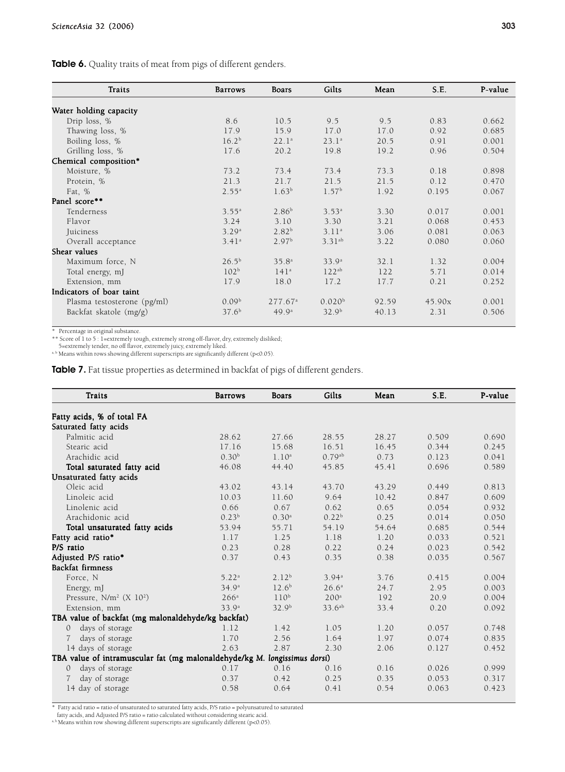| Traits                      | <b>Barrows</b>    | Boars               | Gilts              | Mean  | S.E.   | P-value |
|-----------------------------|-------------------|---------------------|--------------------|-------|--------|---------|
| Water holding capacity      |                   |                     |                    |       |        |         |
| Drip loss, %                | 8.6               | 10.5                | 9.5                | 9.5   | 0.83   | 0.662   |
| Thawing loss, %             | 17.9              | 15.9                | 17.0               | 17.0  | 0.92   | 0.685   |
| Boiling loss, %             | 16.2 <sup>b</sup> | 22.1 <sup>a</sup>   | 23.1 <sup>a</sup>  | 20.5  | 0.91   | 0.001   |
| Grilling loss, %            | 17.6              | 20.2                | 19.8               | 19.2  | 0.96   | 0.504   |
| Chemical composition*       |                   |                     |                    |       |        |         |
| Moisture, %                 | 73.2              | 73.4                | 73.4               | 73.3  | 0.18   | 0.898   |
| Protein, %                  | 21.3              | 21.7                | 21.5               | 21.5  | 0.12   | 0.470   |
| Fat, %                      | 2.55 <sup>a</sup> | 1.63 <sup>b</sup>   | 1.57 <sup>b</sup>  | 1.92  | 0.195  | 0.067   |
| Panel score**               |                   |                     |                    |       |        |         |
| Tenderness                  | 3.55 <sup>a</sup> | 2.86 <sup>b</sup>   | 3.53 <sup>a</sup>  | 3.30  | 0.017  | 0.001   |
| Flavor                      | 3.24              | 3.10                | 3.30               | 3.21  | 0.068  | 0.453   |
| Juiciness                   | 3.29a             | 2.82 <sup>b</sup>   | 3.11 <sup>a</sup>  | 3.06  | 0.081  | 0.063   |
| Overall acceptance          | 3.41a             | 2.97 <sup>b</sup>   | $3.31^{ab}$        | 3.22  | 0.080  | 0.060   |
| Shear values                |                   |                     |                    |       |        |         |
| Maximum force, N            | $26.5^{b}$        | 35.8 <sup>a</sup>   | 33.9 <sup>a</sup>  | 32.1  | 1.32   | 0.004   |
| Total energy, mJ            | 102 <sup>b</sup>  | 141 <sup>a</sup>    | $122^{ab}$         | 122   | 5.71   | 0.014   |
| Extension, mm               | 17.9              | 18.0                | 17.2               | 17.7  | 0.21   | 0.252   |
| Indicators of boar taint    |                   |                     |                    |       |        |         |
| Plasma testosterone (pg/ml) | 0.09 <sup>b</sup> | 277.67 <sup>a</sup> | 0.020 <sup>b</sup> | 92.59 | 45.90x | 0.001   |
| Backfat skatole (mg/g)      | 37.6 <sup>b</sup> | 49.9 <sup>a</sup>   | 32.9 <sup>b</sup>  | 40.13 | 2.31   | 0.506   |

\* Percentage in original substance.

\* \* Score of 1 to 5 : 1=extremely tough, extremely strong off-flavor, dry, extremely disliked;<br>5-extremely tender, no off flavor, extremely juicy, extremely liked.<br>\* Means within rows showing different superscripts are si

**Table 7.** Fat tissue properties as determined in backfat of pigs of different genders.

| Traits                                                                    | <b>Barrows</b>    | <b>Boars</b>      | Gilts             | Mean  | S.E.  | P-value |
|---------------------------------------------------------------------------|-------------------|-------------------|-------------------|-------|-------|---------|
| Fatty acids, % of total FA                                                |                   |                   |                   |       |       |         |
| Saturated fatty acids                                                     |                   |                   |                   |       |       |         |
| Palmitic acid                                                             | 28.62             | 27.66             | 28.55             | 28.27 | 0.509 | 0.690   |
| Stearic acid                                                              | 17.16             | 15.68             | 16.51             | 16.45 | 0.344 | 0.245   |
| Arachidic acid                                                            | 0.30 <sup>b</sup> | 1.10 <sup>a</sup> | $0.79^{ab}$       | 0.73  | 0.123 | 0.041   |
| Total saturated fatty acid                                                | 46.08             | 44.40             | 45.85             | 45.41 | 0.696 | 0.589   |
| Unsaturated fatty acids                                                   |                   |                   |                   |       |       |         |
| Oleic acid                                                                | 43.02             | 43.14             | 43.70             | 43.29 | 0.449 | 0.813   |
| Linoleic acid                                                             | 10.03             | 11.60             | 9.64              | 10.42 | 0.847 | 0.609   |
| Linolenic acid                                                            | 0.66              | 0.67              | 0.62              | 0.65  | 0.054 | 0.932   |
| Arachidonic acid                                                          | 0.23 <sup>b</sup> | 0.30 <sup>a</sup> | 0.22 <sup>b</sup> | 0.25  | 0.014 | 0.050   |
| Total unsaturated fatty acids                                             | 53.94             | 55.71             | 54.19             | 54.64 | 0.685 | 0.544   |
| Fatty acid ratio*                                                         | 1.17              | 1.25              | 1.18              | 1.20  | 0.033 | 0.521   |
| P/S ratio                                                                 | 0.23              | 0.28              | 0.22              | 0.24  | 0.023 | 0.542   |
| Adjusted P/S ratio*                                                       | 0.37              | 0.43              | 0.35              | 0.38  | 0.035 | 0.567   |
| Backfat firmness                                                          |                   |                   |                   |       |       |         |
| Force, N                                                                  | 5.22 <sup>a</sup> | 2.12 <sup>b</sup> | 3.94 <sup>a</sup> | 3.76  | 0.415 | 0.004   |
| Energy, mJ                                                                | 34.9 <sup>a</sup> | $12.6^{b}$        | 26.6 <sup>a</sup> | 24.7  | 2.95  | 0.003   |
| Pressure, $N/m^2$ (X 10 <sup>2</sup> )                                    | 266 <sup>a</sup>  | 110 <sup>b</sup>  | 200 <sup>a</sup>  | 192   | 20.9  | 0.004   |
| Extension, mm                                                             | 33.9 <sup>a</sup> | 32.9 <sup>b</sup> | $33.6^{ab}$       | 33.4  | 0.20  | 0.092   |
| TBA value of backfat (mg malonaldehyde/kg backfat)                        |                   |                   |                   |       |       |         |
| days of storage<br>0                                                      | 1.12              | 1.42              | 1.05              | 1.20  | 0.057 | 0.748   |
| days of storage                                                           | 1.70              | 2.56              | 1.64              | 1.97  | 0.074 | 0.835   |
| 14 days of storage                                                        | 2.63              | 2.87              | 2.30              | 2.06  | 0.127 | 0.452   |
| TBA value of intramuscular fat (mg malonaldehyde/kg M. longissimus dorsi) |                   |                   |                   |       |       |         |
| days of storage<br>0                                                      | 0.17              | 0.16              | 0.16              | 0.16  | 0.026 | 0.999   |
| day of storage                                                            | 0.37              | 0.42              | 0.25              | 0.35  | 0.053 | 0.317   |
| 14 day of storage                                                         | 0.58              | 0.64              | 0.41              | 0.54  | 0.063 | 0.423   |

\* Fatty acid ratio = ratio of unsaturated to saturated fatty acids, P/S ratio = polyunsatured to saturated

fatty acids, and Adjusted P/S ratio = ratio calculated without considering stearic acid.

a, b Means within row showing different superscripts are significantly different (p<0.05).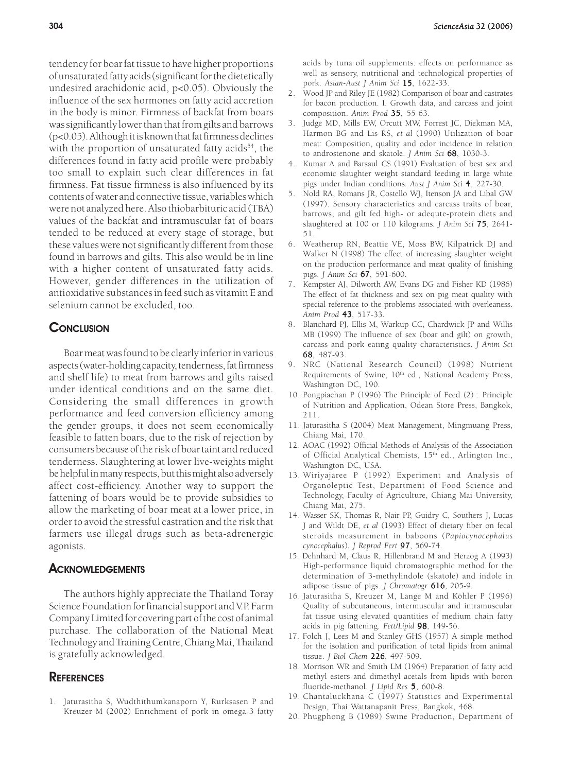tendency for boar fat tissue to have higher proportions of unsaturated fatty acids (significant for the dietetically undesired arachidonic acid, p<0.05). Obviously the influence of the sex hormones on fatty acid accretion in the body is minor. Firmness of backfat from boars was significantly lower than that from gilts and barrows (p<0.05). Although it is known that fat firmness declines with the proportion of unsaturated fatty acids<sup>54</sup>, the differences found in fatty acid profile were probably too small to explain such clear differences in fat firmness. Fat tissue firmness is also influenced by its contents of water and connective tissue, variables which were not analyzed here. Also thiobarbituric acid (TBA) values of the backfat and intramuscular fat of boars tended to be reduced at every stage of storage, but these values were not significantly different from those found in barrows and gilts. This also would be in line with a higher content of unsaturated fatty acids. However, gender differences in the utilization of antioxidative substances in feed such as vitamin E and selenium cannot be excluded, too.

# **CONCLUSION**

Boar meat was found to be clearly inferior in various aspects (water-holding capacity, tenderness, fat firmness and shelf life) to meat from barrows and gilts raised under identical conditions and on the same diet. Considering the small differences in growth performance and feed conversion efficiency among the gender groups, it does not seem economically feasible to fatten boars, due to the risk of rejection by consumers because of the risk of boar taint and reduced tenderness. Slaughtering at lower live-weights might be helpful in many respects, but this might also adversely affect cost-efficiency. Another way to support the fattening of boars would be to provide subsidies to allow the marketing of boar meat at a lower price, in order to avoid the stressful castration and the risk that farmers use illegal drugs such as beta-adrenergic agonists.

## **ACKNOWLEDGEMENTS**

The authors highly appreciate the Thailand Toray Science Foundation for financial support and V.P. Farm Company Limited for covering part of the cost of animal purchase. The collaboration of the National Meat Technology and Training Centre, Chiang Mai, Thailand is gratefully acknowledged.

# **REFERENCES**

1. Jaturasitha S, Wudthithumkanaporn Y, Rurksasen P and Kreuzer M (2002) Enrichment of pork in omega-3 fatty acids by tuna oil supplements: effects on performance as well as sensory, nutritional and technological properties of pork. *Asian-Aust J Anim Sci* 15, 1622-33.

- 2. Wood JP and Riley JE (1982) Comparison of boar and castrates for bacon production. I. Growth data, and carcass and joint composition. *Anim Prod* 35, 55-63.
- 3. Judge MD, Mills EW, Orcutt MW, Forrest JC, Diekman MA, Harmon BG and Lis RS, *et al* (1990) Utilization of boar meat: Composition, quality and odor incidence in relation to androstenone and skatole. *J Anim Sci* 68, 1030-3.
- 4. Kumar A and Barsaul CS (1991) Evaluation of best sex and economic slaughter weight standard feeding in large white pigs under Indian conditions*. Aust J Anim Sci* 4, 227-30.
- 5. Nold RA, Romans JR, Costello WJ, Itenson JA and Libal GW (1997). Sensory characteristics and carcass traits of boar, barrows, and gilt fed high- or adequte-protein diets and slaughtered at 100 or 110 kilograms. J Anim Sci 75, 2641-51.
- 6. Weatherup RN, Beattie VE, Moss BW, Kilpatrick DJ and Walker N (1998) The effect of increasing slaughter weight on the production performance and meat quality of finishing pigs. *J Anim Sci* 67, 591-600.
- 7. Kempster AJ, Dilworth AW, Evans DG and Fisher KD (1986) The effect of fat thickness and sex on pig meat quality with special reference to the problems associated with overleaness. *Anim Prod* 43, 517-33. 43
- 8. Blanchard PJ, Ellis M, Warkup CC, Chardwick JP and Willis MB (1999) The influence of sex (boar and gilt) on growth, carcass and pork eating quality characteristics. *J Anim Sci* 68, 487-93.
- 9. NRC (National Research Council) (1998) Nutrient Requirements of Swine, 10<sup>th</sup> ed., National Academy Press, Washington DC, 190.
- 10. Pongpiachan P (1996) The Principle of Feed (2) : Principle of Nutrition and Application, Odean Store Press, Bangkok, 211.
- 11. Jaturasitha S (2004) Meat Management, Mingmuang Press, Chiang Mai, 170.
- 12. AOAC (1992) Official Methods of Analysis of the Association of Official Analytical Chemists, 15<sup>th</sup> ed., Arlington Inc., Washington DC, USA.
- 13. Wiriyajaree P (1992) Experiment and Analysis of Organoleptic Test, Department of Food Science and Technology, Faculty of Agriculture, Chiang Mai University, Chiang Mai, 275.
- 14. Wasser SK, Thomas R, Nair PP, Guidry C, Southers J, Lucas J and Wildt DE, *et al* (1993) Effect of dietary fiber on fecal steroids measurement in baboons (*Papiocynocephalus cynocephalus*). *J Reprod Fert* 97, 569-74.
- 15. Dehnhard M, Claus R, Hillenbrand M and Herzog A (1993) High-performance liquid chromatographic method for the determination of 3-methylindole (skatole) and indole in adipose tissue of pigs. *J Chromatogr* 616, 205-9.
- 16. Jaturasitha S, Kreuzer M, Lange M and Köhler P (1996) Quality of subcutaneous, intermuscular and intramuscular fat tissue using elevated quantities of medium chain fatty acids in pig fattening. Fett/Lipid 98, 149-56.
- 17. Folch J, Lees M and Stanley GHS (1957) A simple method for the isolation and purification of total lipids from animal tissue. *J Biol Chem* 226, 497-509.
- 18. Morrison WR and Smith LM (1964) Preparation of fatty acid methyl esters and dimethyl acetals from lipids with boron fluoride-methanol. *J Lipid Res* 5, 600-8.
- 19. Chantaluckhana C (1997) Statistics and Experimental Design, Thai Wattanapanit Press, Bangkok, 468.
- 20. Phugphong B (1989) Swine Production, Department of